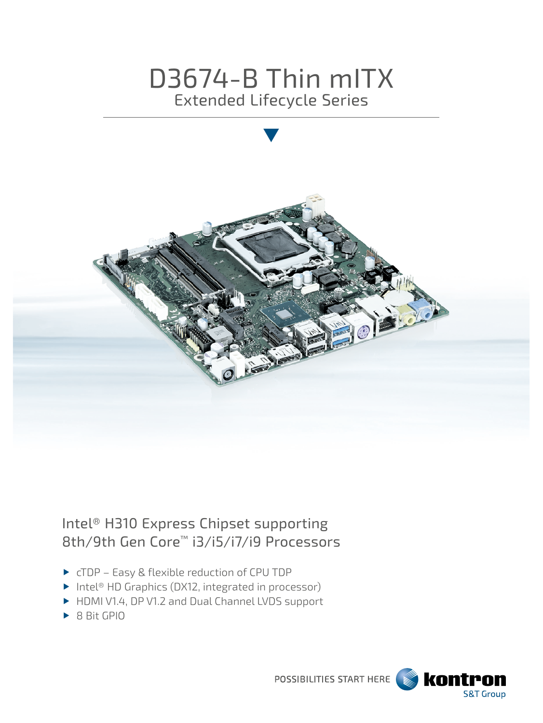# D3674-B Thin mITX Extended Lifecycle Series



## Intel® H310 Express Chipset supporting 8th/9th Gen Core™ i3/i5/i7/i9 Processors

- ▶ cTDP Easy & flexible reduction of CPU TDP
- ▶ Intel<sup>®</sup> HD Graphics (DX12, integrated in processor)
- HDMI V1.4, DP V1.2 and Dual Channel LVDS support
- ▶ 8 Bit GPIO

POSSIBILITIES START HERE

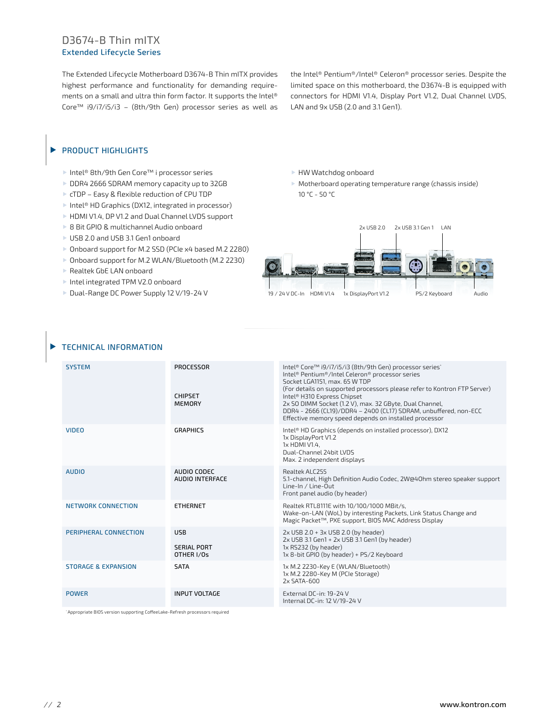#### D3674-B Thin mITX Extended Lifecycle Series

The Extended Lifecycle Motherboard D3674-B Thin mITX provides highest performance and functionality for demanding requirements on a small and ultra thin form factor. It supports the Intel® Core™ i9/i7/i5/i3 – (8th/9th Gen) processor series as well as

the Intel® Pentium®/Intel® Celeron® processor series. Despite the limited space on this motherboard, the D3674-B is equipped with connectors for HDMI V1.4, Display Port V1.2, Dual Channel LVDS, LAN and 9x USB (2.0 and 3.1 Gen1).

#### PRODUCT HIGHLIGHTS  $\blacktriangleright$

- Intel® 8th/9th Gen Core™ i processor series
- DDR4 2666 SDRAM memory capacity up to 32GB
- ▶ cTDP Easy & flexible reduction of CPU TDP
- ▶ Intel<sup>®</sup> HD Graphics (DX12, integrated in processor)
- HDMI V1.4, DP V1.2 and Dual Channel LVDS support
- ▶ 8 Bit GPIO & multichannel Audio onboard
- ▶ USB 2.0 and USB 3.1 Gen1 onboard
- ▶ Onboard support for M.2 SSD (PCIe x4 based M.2 2280)
- ▶ Onboard support for M.2 WLAN/Bluetooth (M.2 2230)
- Realtek GbE LAN onboard
- Intel integrated TPM V2.0 onboard
- ▶ Dual-Range DC Power Supply 12 V/19-24 V

HW Watchdog onboard

 Motherboard operating temperature range (chassis inside) 10 °C - 50 °C



#### TECHNICAL INFORMATION

| <b>SYSTEM</b>                  | PROCESSOR<br><b>CHIPSET</b><br><b>MEMORY</b>   | Intel® Core™ i9/i7/i5/i3 (8th/9th Gen) processor series*<br>Intel® Pentium®/Intel Celeron® processor series<br>Socket LGA1151, max, 65 W TDP<br>(For details on supported processors please refer to Kontron FTP Server)<br>Intel® H310 Express Chipset<br>2x SO DIMM Socket (1.2 V), max. 32 GByte, Dual Channel,<br>DDR4 - 2666 (CL19)/DDR4 - 2400 (CL17) SDRAM, unbuffered, non-ECC<br>Effective memory speed depends on installed processor |
|--------------------------------|------------------------------------------------|-------------------------------------------------------------------------------------------------------------------------------------------------------------------------------------------------------------------------------------------------------------------------------------------------------------------------------------------------------------------------------------------------------------------------------------------------|
| <b>VIDEO</b>                   | <b>GRAPHICS</b>                                | Intel® HD Graphics (depends on installed processor), DX12<br>1x DisplayPort V1.2<br>1x HDMI V1.4.<br>Dual-Channel 24bit LVDS<br>Max. 2 independent displays                                                                                                                                                                                                                                                                                     |
| <b>AUDIO</b>                   | AUDIO CODEC<br>AUDIO INTERFACE                 | Realtek ALC255<br>5.1-channel, High Definition Audio Codec, 2W@40hm stereo speaker support<br>Line-In / Line-Out<br>Front panel audio (by header)                                                                                                                                                                                                                                                                                               |
| NETWORK CONNECTION             | <b>ETHERNET</b>                                | Realtek RTL8111E with 10/100/1000 MBit/s,<br>Wake-on-LAN (WoL) by interesting Packets, Link Status Change and<br>Magic Packet™, PXE support, BIOS MAC Address Display                                                                                                                                                                                                                                                                           |
| PERIPHERAL CONNECTION          | <b>USB</b><br><b>SERIAL PORT</b><br>OTHER I/Os | $2x$ USB 2.0 + $3x$ USB 2.0 (by header)<br>2x USB 3.1 Gen1 + 2x USB 3.1 Gen1 (by header)<br>1x RS232 (by header)<br>1x 8-bit GPIO (by header) + PS/2 Keyboard                                                                                                                                                                                                                                                                                   |
| <b>STORAGE &amp; EXPANSION</b> | <b>SATA</b>                                    | 1x M.2 2230-Key E (WLAN/Bluetooth)<br>1x M.2 2280-Key M (PCIe Storage)<br>$2x$ SATA-600                                                                                                                                                                                                                                                                                                                                                         |
| <b>POWER</b>                   | <b>INPUT VOLTAGE</b>                           | External DC-in: 19-24 V<br>Internal DC-in: 12 V/19-24 V                                                                                                                                                                                                                                                                                                                                                                                         |

\* Appropriate BIOS version supporting CoffeeLake-Refresh processors required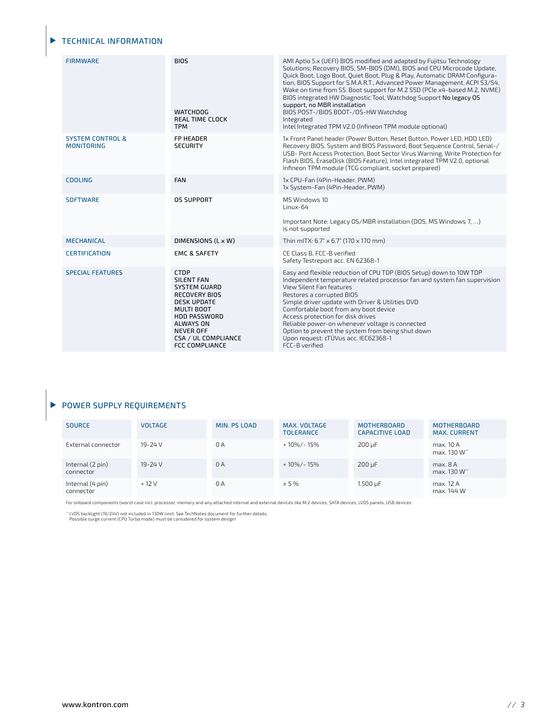#### TECHNICAL INFORMATION

| <b>FIRMWARE</b>                                  | <b>BIOS</b><br><b>WATCHDOG</b><br><b>REAL TIME CLOCK</b><br><b>TPM</b>                                                                                                                                                             | AMI Aptio 5.x (UEFI) BIOS modified and adapted by Fujitsu Technology<br>Solutions; Recovery BIOS, SM-BIOS (DMI), BIOS and CPU Microcode Update,<br>Quick Boot, Logo Boot, Quiet Boot, Plug & Play, Automatic DRAM Configura-<br>tion, BIOS Support for S.M.A.R.T., Advanced Power Management, ACPI S3/S4,<br>Wake on time from S5. Boot support for M.2 SSD (PCIe x4-based M.2, NVME)<br>BIOS integrated HW Diagnostic Tool, Watchdog Support No legacy OS<br>support, no MBR installation<br>BIOS POST-/BIOS BOOT-/OS-HW Watchdog<br>Integrated<br>Intel Integrated TPM V2.0 (Infineon TPM module optional) |
|--------------------------------------------------|------------------------------------------------------------------------------------------------------------------------------------------------------------------------------------------------------------------------------------|--------------------------------------------------------------------------------------------------------------------------------------------------------------------------------------------------------------------------------------------------------------------------------------------------------------------------------------------------------------------------------------------------------------------------------------------------------------------------------------------------------------------------------------------------------------------------------------------------------------|
| <b>SYSTEM CONTROL &amp;</b><br><b>MONITORING</b> | <b>FP HEADER</b><br><b>SECURITY</b>                                                                                                                                                                                                | 1x Front Panel header (Power Button, Reset Button, Power LED, HDD LED)<br>Recovery BIOS, System and BIOS Password, Boot Sequence Control, Serial-/<br>USB- Port Access Protection, Boot Sector Virus Warning, Write Protection for<br>Flash BIOS, EraseDisk (BIOS Feature), Intel integrated TPM V2.0, optional<br>Infineon TPM module (TCG compliant, socket prepared)                                                                                                                                                                                                                                      |
| <b>COOLING</b>                                   | <b>FAN</b>                                                                                                                                                                                                                         | 1x CPU-Fan (4Pin-Header, PWM)<br>1x System-Fan (4Pin-Header, PWM)                                                                                                                                                                                                                                                                                                                                                                                                                                                                                                                                            |
| <b>SOFTWARE</b>                                  | <b>OS SUPPORT</b>                                                                                                                                                                                                                  | MS Windows 10<br>Linux-64<br>Important Note: Legacy OS/MBR installation (DOS, MS Windows 7, )<br>is not supported                                                                                                                                                                                                                                                                                                                                                                                                                                                                                            |
| <b>MECHANICAL</b>                                | DIMENSIONS (L x W)                                                                                                                                                                                                                 | Thin mITX: 6.7" x 6.7" (170 x 170 mm)                                                                                                                                                                                                                                                                                                                                                                                                                                                                                                                                                                        |
| <b>CERTIFICATION</b>                             | <b>EMC &amp; SAFETY</b>                                                                                                                                                                                                            | CE Class B. FCC-B verified<br>Safety Testreport acc. EN 62368-1                                                                                                                                                                                                                                                                                                                                                                                                                                                                                                                                              |
| <b>SPECIAL FEATURES</b>                          | CTDP<br><b>SILENT FAN</b><br><b>SYSTEM GUARD</b><br><b>RECOVERY BIOS</b><br><b>DESK UPDATE</b><br><b>MULTI BOOT</b><br><b>HDD PASSWORD</b><br><b>ALWAYS ON</b><br><b>NEVER OFF</b><br>CSA / UL COMPLIANCE<br><b>FCC COMPLIANCE</b> | Easy and flexible reduction of CPU TDP (BIOS Setup) down to 10W TDP<br>Independent temperature related processor fan and system fan supervision<br>View Silent Fan features<br>Restores a corrupted BIOS<br>Simple driver update with Driver & Utilities DVD<br>Comfortable boot from any boot device<br>Access protection for disk drives<br>Reliable power-on whenever voltage is connected<br>Option to prevent the system from being shut down<br>Upon request: cTÜVus acc. IEC62368-1<br>FCC-B verified                                                                                                 |

### **POWER SUPPLY REQUIREMENTS**

| <b>SOURCE</b>                 | <b>VOLTAGE</b> | MIN. PS LOAD | MAX. VOLTAGE<br><b>TOLERANCE</b> | <b>MOTHERBOARD</b><br><b>CAPACITIVE LOAD</b> | <b>MOTHERBOARD</b><br><b>MAX. CURRENT</b> |
|-------------------------------|----------------|--------------|----------------------------------|----------------------------------------------|-------------------------------------------|
| External connector            | 19-24 V        | 0 A          | + 10%/- 15%                      | $200 \mu F$                                  | max. 10 A<br>max. 130 W**                 |
| Internal (2 pin)<br>connector | 19-24 V        | 0 A          | + 10%/- 15%                      | $200 \mu F$                                  | max. 8A<br>max. 130 W <sup>**</sup>       |
| Internal (4 pin)<br>connector | $+12V$         | 0 A          | ± 5%                             | 1.500 µF                                     | max. 12 A<br>max. 144 W                   |

For onboard components (worst case incl. processor, memory and any attached internal and external devices like M.2 devices, SATA devices, LVDS panels, USB devices.

 $\cdot \cdot$  LVDS backlight (19/24V) not included in 130W limit. See TechNotes document for further details.<br>Possible surge current (CPU Turbo mode) must be considered for system design!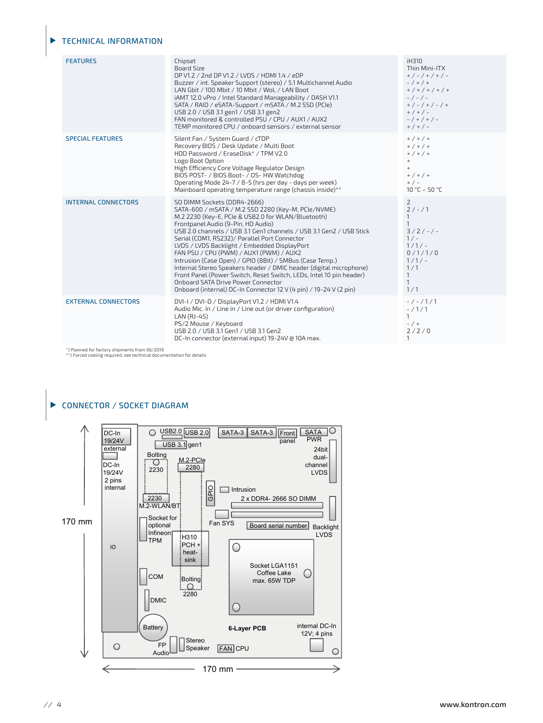#### TECHNICAL INFORMATION

| <b>FEATURES</b>            | Chipset<br>Board Size<br>DP V1.2 / 2nd DP V1.2 / LVDS / HDMI 1.4 / eDP<br>Buzzer / int. Speaker Support (stereo) / 5.1 Multichannel Audio<br>LAN Gbit / 100 Mbit / 10 Mbit / WoL / LAN Boot<br>iAMT 12.0 vPro / Intel Standard Manageability / DASH V1.1<br>SATA / RAID / eSATA-Support / mSATA / M.2 SSD (PCIe)<br>USB 2.0 / USB 3.1 gen1 / USB 3.1 gen2<br>FAN monitored & controlled PSU / CPU / AUX1 / AUX2<br>TEMP monitored CPU / onboard sensors / external sensor                                                                                                                                                                                                                                            | iH310<br>Thin Mini-ITX<br>$+$ / - / + / + / -<br>$- / + / +$<br>$+$ / + / + / + / +<br>$-/-/-$<br>$+$ / - / + / - / +<br>$+$ / + / -<br>$-$ / + / + / -<br>$+$ / + / - |
|----------------------------|----------------------------------------------------------------------------------------------------------------------------------------------------------------------------------------------------------------------------------------------------------------------------------------------------------------------------------------------------------------------------------------------------------------------------------------------------------------------------------------------------------------------------------------------------------------------------------------------------------------------------------------------------------------------------------------------------------------------|------------------------------------------------------------------------------------------------------------------------------------------------------------------------|
| <b>SPECIAL FEATURES</b>    | Silent Fan / System Guard / cTDP<br>Recovery BIOS / Desk Update / Multi Boot<br>HDD Password / EraseDisk* / TPM V2.0<br>Logo Boot Option<br>High Efficiency Core Voltage Regulator Design<br>BIOS POST- / BIOS Boot- / OS- HW Watchdog<br>Operating Mode 24-7 / 8-5 (hrs per day - days per week)<br>Mainboard operating temperature range (chassis inside)**                                                                                                                                                                                                                                                                                                                                                        | $+$ / + / +<br>$+$ / + / +<br>$+$ / + / +<br>$+$<br>$+$<br>$+$ / + / +<br>$+$ / $-$<br>10 °C - 50 °C                                                                   |
| <b>INTERNAL CONNECTORS</b> | SO DIMM Sockets (DDR4-2666)<br>SATA-600 / mSATA / M.2 SSD 2280 (Key-M, PCIe/NVME)<br>M.2 2230 (Key-E, PCIe & USB2.0 for WLAN/Bluetooth)<br>Frontpanel Audio (9-Pin, HD Audio)<br>USB 2.0 channels / USB 3.1 Gen1 channels / USB 3.1 Gen2 / USB Stick<br>Serial (COM1, RS232)/ Parallel Port Connector<br>LVDS / LVDS Backlight / Embedded DisplayPort<br>FAN PSU / CPU (PWM) / AUX1 (PWM) / AUX2<br>Intrusion (Case Open) / GPIO (8Bit) / SMBus (Case Temp.)<br>Internal Stereo Speakers header / DMIC header (digital microphone)<br>Front Panel (Power Switch, Reset Switch, LEDs, Intel 10 pin header)<br>Onboard SATA Drive Power Connector<br>Onboard (internal) DC-In Connector 12 V (4 pin) / 19-24 V (2 pin) | $\mathsf{Z}$<br>$2/-/1$<br>$\mathbf{1}$<br>$3/2/-/ -$<br>$1/-$<br>$1/1/-$<br>0/1/1/0<br>$1/1/-$<br>1/1<br>$\mathbf{1}$<br>$\mathbf{1}$<br>1/1                          |
| <b>EXTERNAL CONNECTORS</b> | DVI-I / DVI-D / DisplayPort V1.2 / HDMI V1.4<br>Audio Mic. In / Line in / Line out (or driver configuration)<br>LAN (RJ-45)<br>PS/2 Mouse / Keyboard<br>USB 2.0 / USB 3.1 Gen1 / USB 3.1 Gen2<br>DC-In connector (external input) 19-24V @ 10A max.                                                                                                                                                                                                                                                                                                                                                                                                                                                                  | $-/-/1/1$<br>$-71/1$<br>$\mathbf{1}$<br>$- / +$<br>2/2/0<br>$\mathbf{1}$                                                                                               |

\*) Planned for factory shipments from 06/2019 \*\*) Forced cooling required, see technical documentation for details



*// 4* www.kontron.com